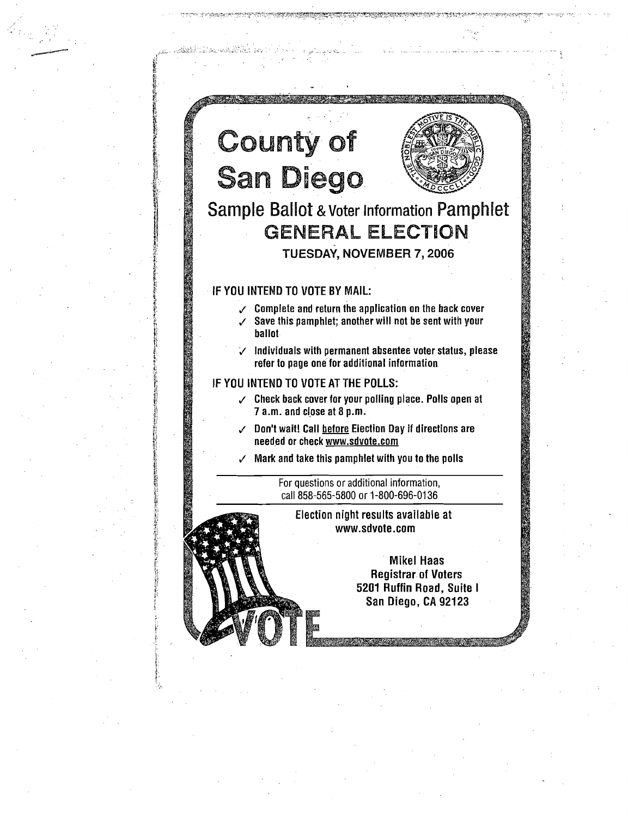

 $\cdot$  .

 $e^{i}$   $i$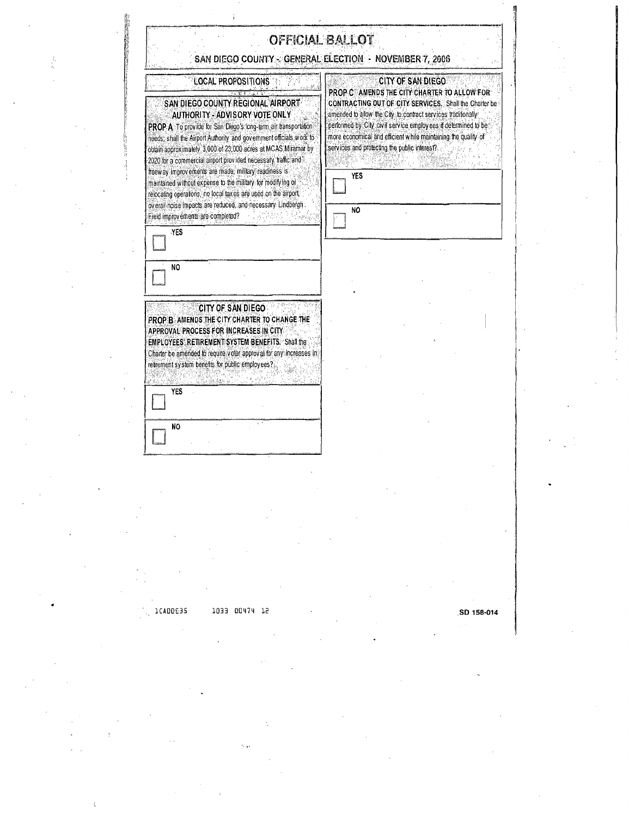|                                                                                                                                                                                                                                                                                                                                                                                                                                                                                                                                                                                                                                                                          | SAN DIEGO COUNTY - GENERAL ELECTION - NOVEMBER 7, 2006                                                                                                                                                                                                                                                                                                                                                    |
|--------------------------------------------------------------------------------------------------------------------------------------------------------------------------------------------------------------------------------------------------------------------------------------------------------------------------------------------------------------------------------------------------------------------------------------------------------------------------------------------------------------------------------------------------------------------------------------------------------------------------------------------------------------------------|-----------------------------------------------------------------------------------------------------------------------------------------------------------------------------------------------------------------------------------------------------------------------------------------------------------------------------------------------------------------------------------------------------------|
| LOCAL PROPOSITIONS<br>SAN DIEGO COUNTY REGIONAL AIRPORT<br>AUTHORITY - ADVISORY VOTE ONLY<br>PROP A To provide for San Diego's long-lerm air transportation<br>needs; shall the Airport Authority, and government officials work to<br>obtain approximately 3,000 of 23,000 acres at MCAS Miramar by<br>2020 for a commercial airport provided necessary traffic and<br>freeway improvements are made, military readiness is<br>maintained without expense to the military for modifying or<br>relocating operations, no local taxes are used on the airport.<br>overall holse impacts are reduced, and necessary. Lindbergh<br>Field improvements are completed?<br>YES | <b>CITY OF SAN DIEGO</b><br>PROP C AMENDS THE CITY CHARTER TO ALLOW FOR<br>CONTRACTING OUT OF CITY SERVICES. Shall the Charter be<br>amended to allow the City to contract services traditionally<br>performed by City, Civil service employees if determined to be<br>more economical and efficient while maintaining the quality of<br>services and protecting the public interest?<br>YES<br><b>NO</b> |
| NO                                                                                                                                                                                                                                                                                                                                                                                                                                                                                                                                                                                                                                                                       |                                                                                                                                                                                                                                                                                                                                                                                                           |
| CITY OF SAN DIEGO<br>PROP B AMENDS THE CITY CHARTER TO CHANGE THE<br>APPROVAL PROCESS FOR INCREASES IN CITY<br><b>EMPLOYEES' RETIREMENT SYSTEM BENEFITS. Shall the</b><br>Charter be amended to require vider approval for any increases in<br>retrement system benefits for public employees?                                                                                                                                                                                                                                                                                                                                                                           |                                                                                                                                                                                                                                                                                                                                                                                                           |
| <b>YES</b><br>N <sub>0</sub>                                                                                                                                                                                                                                                                                                                                                                                                                                                                                                                                                                                                                                             |                                                                                                                                                                                                                                                                                                                                                                                                           |

**", "** 

**.SO 158-014** 

I,

1CAOOU5 1033 00474 12

J.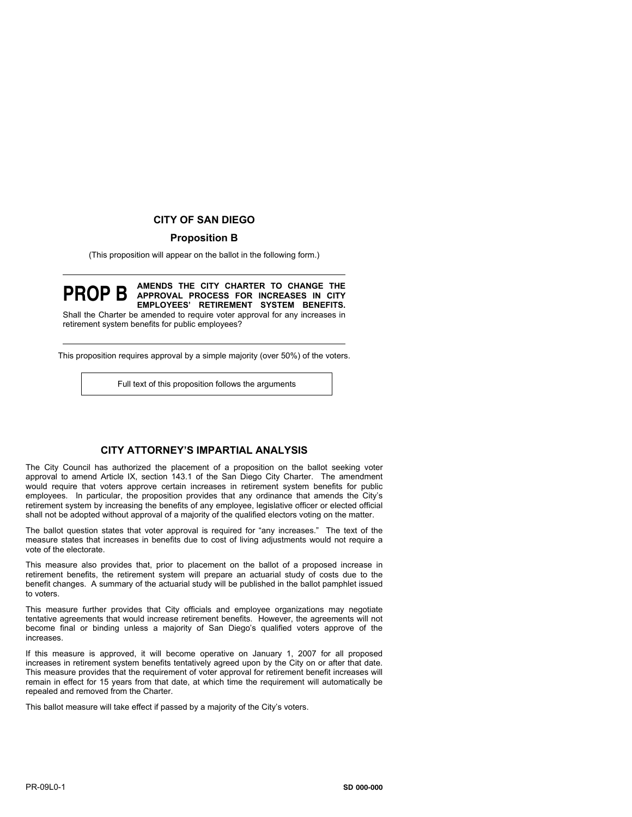# **CITY OF SAN DIEGO**

# **Proposition B**

(This proposition will appear on the ballot in the following form.)

#### **PROP B AMENDS THE CITY CHARTER TO CHANGE THE APPROVAL PROCESS FOR INCREASES IN CITY EMPLOYEES' RETIREMENT SYSTEM BENEFITS.**

Shall the Charter be amended to require voter approval for any increases in retirement system benefits for public employees?

This proposition requires approval by a simple majority (over 50%) of the voters.

Full text of this proposition follows the arguments

### **CITY ATTORNEY'S IMPARTIAL ANALYSIS**

The City Council has authorized the placement of a proposition on the ballot seeking voter approval to amend Article IX, section 143.1 of the San Diego City Charter. The amendment would require that voters approve certain increases in retirement system benefits for public employees. In particular, the proposition provides that any ordinance that amends the City's retirement system by increasing the benefits of any employee, legislative officer or elected official shall not be adopted without approval of a majority of the qualified electors voting on the matter.

The ballot question states that voter approval is required for "any increases." The text of the measure states that increases in benefits due to cost of living adjustments would not require a vote of the electorate.

This measure also provides that, prior to placement on the ballot of a proposed increase in retirement benefits, the retirement system will prepare an actuarial study of costs due to the benefit changes. A summary of the actuarial study will be published in the ballot pamphlet issued to voters.

This measure further provides that City officials and employee organizations may negotiate tentative agreements that would increase retirement benefits. However, the agreements will not become final or binding unless a majority of San Diego's qualified voters approve of the increases.

If this measure is approved, it will become operative on January 1, 2007 for all proposed increases in retirement system benefits tentatively agreed upon by the City on or after that date. This measure provides that the requirement of voter approval for retirement benefit increases will remain in effect for 15 years from that date, at which time the requirement will automatically be repealed and removed from the Charter.

This ballot measure will take effect if passed by a majority of the City's voters.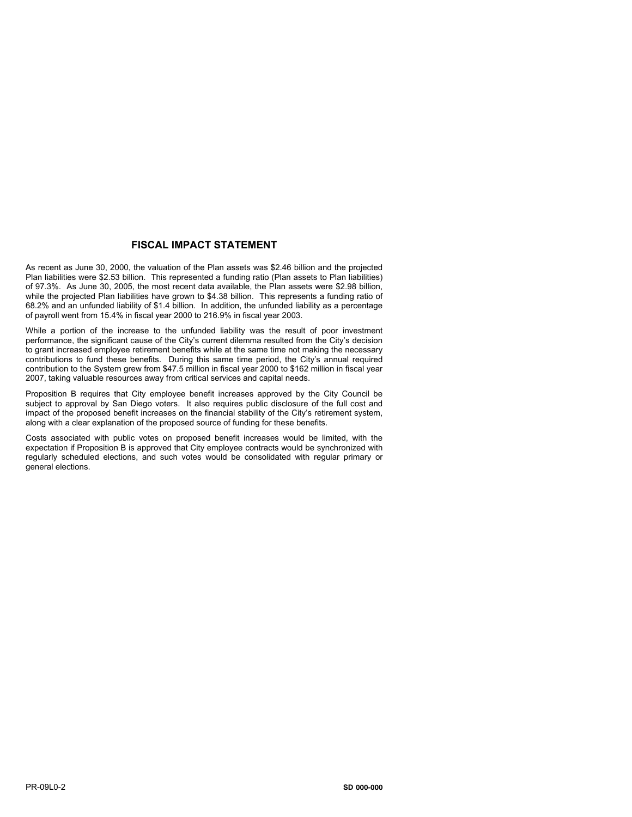# **FISCAL IMPACT STATEMENT**

As recent as June 30, 2000, the valuation of the Plan assets was \$2.46 billion and the projected Plan liabilities were \$2.53 billion. This represented a funding ratio (Plan assets to Plan liabilities) of 97.3%. As June 30, 2005, the most recent data available, the Plan assets were \$2.98 billion, while the projected Plan liabilities have grown to \$4.38 billion. This represents a funding ratio of 68.2% and an unfunded liability of \$1.4 billion. In addition, the unfunded liability as a percentage of payroll went from 15.4% in fiscal year 2000 to 216.9% in fiscal year 2003.

While a portion of the increase to the unfunded liability was the result of poor investment performance, the significant cause of the City's current dilemma resulted from the City's decision to grant increased employee retirement benefits while at the same time not making the necessary contributions to fund these benefits. During this same time period, the City's annual required contribution to the System grew from \$47.5 million in fiscal year 2000 to \$162 million in fiscal year 2007, taking valuable resources away from critical services and capital needs.

Proposition B requires that City employee benefit increases approved by the City Council be subject to approval by San Diego voters. It also requires public disclosure of the full cost and impact of the proposed benefit increases on the financial stability of the City's retirement system, along with a clear explanation of the proposed source of funding for these benefits.

Costs associated with public votes on proposed benefit increases would be limited, with the expectation if Proposition B is approved that City employee contracts would be synchronized with regularly scheduled elections, and such votes would be consolidated with regular primary or general elections.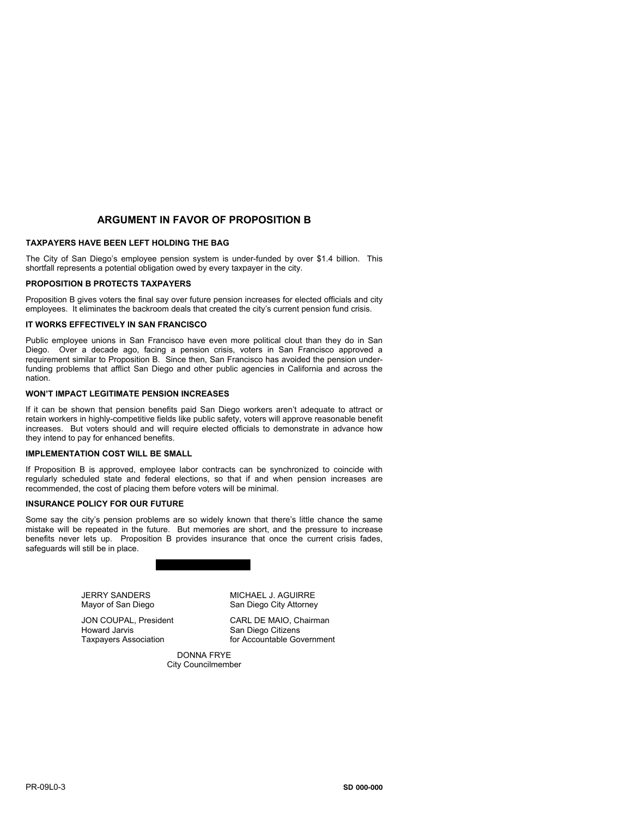# **ARGUMENT IN FAVOR OF PROPOSITION B**

### **TAXPAYERS HAVE BEEN LEFT HOLDING THE BAG**

The City of San Diego's employee pension system is under-funded by over \$1.4 billion. This shortfall represents a potential obligation owed by every taxpayer in the city.

### **PROPOSITION B PROTECTS TAXPAYERS**

Proposition B gives voters the final say over future pension increases for elected officials and city employees. It eliminates the backroom deals that created the city's current pension fund crisis.

#### **IT WORKS EFFECTIVELY IN SAN FRANCISCO**

Public employee unions in San Francisco have even more political clout than they do in San Diego. Over a decade ago, facing a pension crisis, voters in San Francisco approved a requirement similar to Proposition B. Since then, San Francisco has avoided the pension underfunding problems that afflict San Diego and other public agencies in California and across the nation.

### **WON'T IMPACT LEGITIMATE PENSION INCREASES**

If it can be shown that pension benefits paid San Diego workers aren't adequate to attract or retain workers in highly-competitive fields like public safety, voters will approve reasonable benefit increases. But voters should and will require elected officials to demonstrate in advance how they intend to pay for enhanced benefits.

#### **IMPLEMENTATION COST WILL BE SMALL**

If Proposition B is approved, employee labor contracts can be synchronized to coincide with regularly scheduled state and federal elections, so that if and when pension increases are recommended, the cost of placing them before voters will be minimal.

### **INSURANCE POLICY FOR OUR FUTURE**

Some say the city's pension problems are so widely known that there's little chance the same mistake will be repeated in the future. But memories are short, and the pressure to increase benefits never lets up. Proposition B provides insurance that once the current crisis fades, safeguards will still be in place.



JERRY SANDERS MICHAEL J. AGUIRRE Mayor of San Diego San Diego City Attorney

JON COUPAL, President CARL DE MAIO, Chairman<br>Howard Jarvis Carl Carl Can Diego Citizens San Diego Citizens Taxpayers Association **For Accountable Government** 

> DONNA FRYE City Councilmember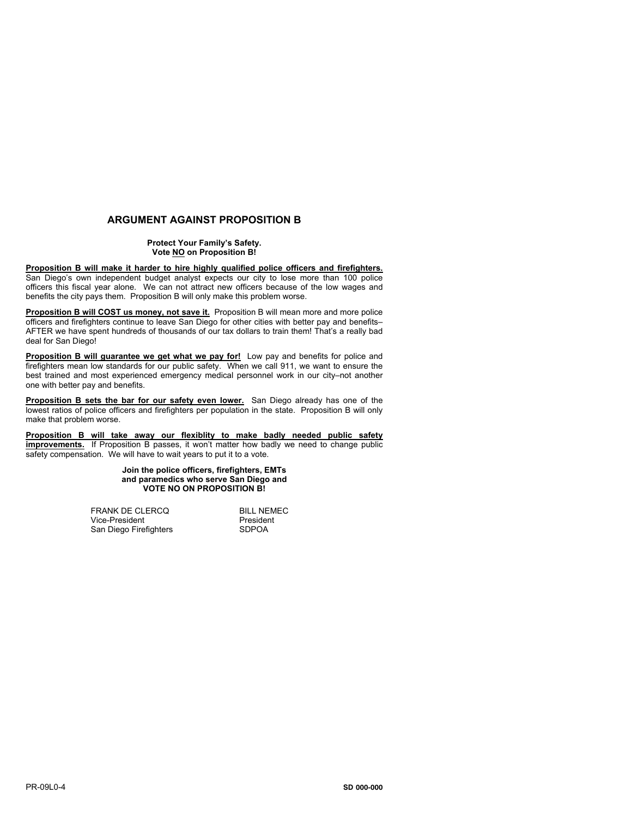# **ARGUMENT AGAINST PROPOSITION B**

### **Protect Your Family's Safety. Vote NO on Proposition B!**

### **Proposition B will make it harder to hire highly qualified police officers and firefighters.**

San Diego's own independent budget analyst expects our city to lose more than 100 police officers this fiscal year alone. We can not attract new officers because of the low wages and benefits the city pays them. Proposition B will only make this problem worse.

**Proposition B will COST us money, not save it.** Proposition B will mean more and more police officers and firefighters continue to leave San Diego for other cities with better pay and benefits– AFTER we have spent hundreds of thousands of our tax dollars to train them! That's a really bad deal for San Diego!

**Proposition B will guarantee we get what we pay for!** Low pay and benefits for police and firefighters mean low standards for our public safety. When we call 911, we want to ensure the best trained and most experienced emergency medical personnel work in our city–not another one with better pay and benefits.

**Proposition B sets the bar for our safety even lower.** San Diego already has one of the lowest ratios of police officers and firefighters per population in the state. Proposition B will only make that problem worse.

**Proposition B will take away our flexiblity to make badly needed public safety improvements.** If Proposition B passes, it won't matter how badly we need to change public safety compensation. We will have to wait years to put it to a vote.

### **Join the police officers, firefighters, EMTs and paramedics who serve San Diego and VOTE NO ON PROPOSITION B!**

FRANK DE CLERCQ<br>Vice-President **Bill De Land President** Vice-President President<br>
San Diego Firefighters Press SDPOA San Diego Firefighters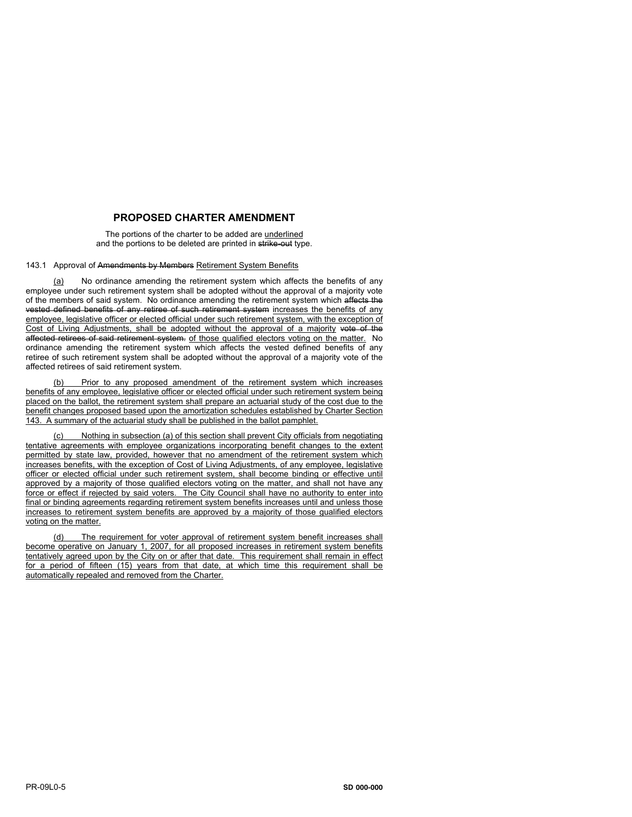# **PROPOSED CHARTER AMENDMENT**

The portions of the charter to be added are underlined and the portions to be deleted are printed in strike-out type.

### 143.1 Approval of Amendments by Members Retirement System Benefits

(a) No ordinance amending the retirement system which affects the benefits of any employee under such retirement system shall be adopted without the approval of a majority vote of the members of said system. No ordinance amending the retirement system which affects the vested defined benefits of any retiree of such retirement system increases the benefits of any employee, legislative officer or elected official under such retirement system, with the exception of Cost of Living Adjustments, shall be adopted without the approval of a majority vote of the affected retirees of said retirement system. of those qualified electors voting on the matter. No ordinance amending the retirement system which affects the vested defined benefits of any retiree of such retirement system shall be adopted without the approval of a majority vote of the affected retirees of said retirement system.

Prior to any proposed amendment of the retirement system which increases benefits of any employee, legislative officer or elected official under such retirement system being placed on the ballot, the retirement system shall prepare an actuarial study of the cost due to the benefit changes proposed based upon the amortization schedules established by Charter Section 143. A summary of the actuarial study shall be published in the ballot pamphlet.

Nothing in subsection (a) of this section shall prevent City officials from negotiating tentative agreements with employee organizations incorporating benefit changes to the extent permitted by state law, provided, however that no amendment of the retirement system which increases benefits, with the exception of Cost of Living Adjustments, of any employee, legislative officer or elected official under such retirement system, shall become binding or effective until approved by a majority of those qualified electors voting on the matter, and shall not have any force or effect if rejected by said voters. The City Council shall have no authority to enter into final or binding agreements regarding retirement system benefits increases until and unless those increases to retirement system benefits are approved by a majority of those gualified electors voting on the matter.

(d) The requirement for voter approval of retirement system benefit increases shall become operative on January 1, 2007, for all proposed increases in retirement system benefits tentatively agreed upon by the City on or after that date. This requirement shall remain in effect for a period of fifteen (15) years from that date, at which time this requirement shall be automatically repealed and removed from the Charter.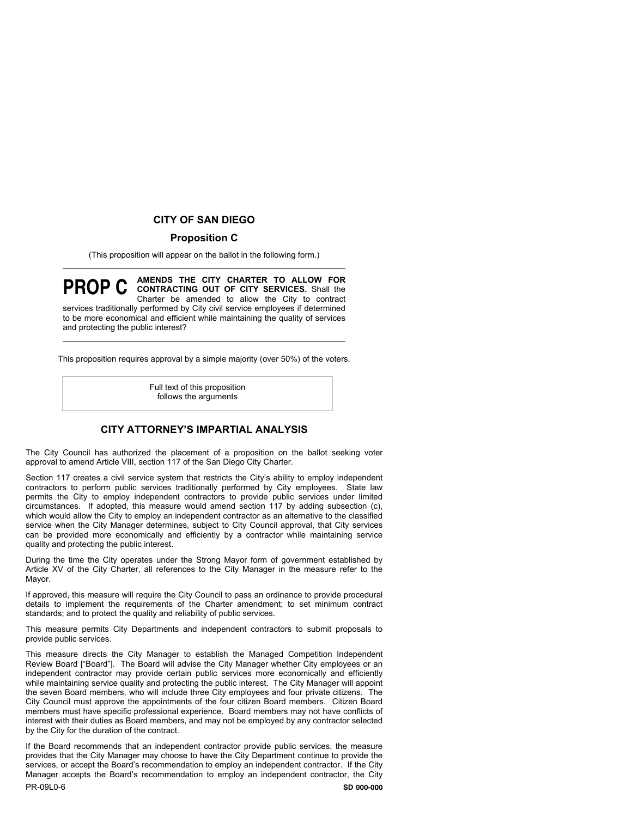# **CITY OF SAN DIEGO**

# **Proposition C**

(This proposition will appear on the ballot in the following form.)

**PROP C AMENDS THE CITY CHARTER TO ALLOW FOR CONTRACTING OUT OF CITY SERVICES.** Shall the Charter be amended to allow the City to contract services traditionally performed by City civil service employees if determined to be more economical and efficient while maintaining the quality of services and protecting the public interest?

This proposition requires approval by a simple majority (over 50%) of the voters.

Full text of this proposition follows the arguments

# **CITY ATTORNEY'S IMPARTIAL ANALYSIS**

The City Council has authorized the placement of a proposition on the ballot seeking voter approval to amend Article VIII, section 117 of the San Diego City Charter.

Section 117 creates a civil service system that restricts the City's ability to employ independent contractors to perform public services traditionally performed by City employees. State law permits the City to employ independent contractors to provide public services under limited circumstances. If adopted, this measure would amend section 117 by adding subsection (c), which would allow the City to employ an independent contractor as an alternative to the classified service when the City Manager determines, subject to City Council approval, that City services can be provided more economically and efficiently by a contractor while maintaining service quality and protecting the public interest.

During the time the City operates under the Strong Mayor form of government established by Article XV of the City Charter, all references to the City Manager in the measure refer to the Mayor.

If approved, this measure will require the City Council to pass an ordinance to provide procedural details to implement the requirements of the Charter amendment; to set minimum contract standards; and to protect the quality and reliability of public services.

This measure permits City Departments and independent contractors to submit proposals to provide public services.

This measure directs the City Manager to establish the Managed Competition Independent Review Board ["Board"]. The Board will advise the City Manager whether City employees or an independent contractor may provide certain public services more economically and efficiently while maintaining service quality and protecting the public interest. The City Manager will appoint the seven Board members, who will include three City employees and four private citizens. The City Council must approve the appointments of the four citizen Board members. Citizen Board members must have specific professional experience. Board members may not have conflicts of interest with their duties as Board members, and may not be employed by any contractor selected by the City for the duration of the contract.

PR-09L0-6 If the Board recommends that an independent contractor provide public services, the measure provides that the City Manager may choose to have the City Department continue to provide the services, or accept the Board's recommendation to employ an independent contractor. If the City Manager accepts the Board's recommendation to employ an independent contractor, the City **SD 000-000**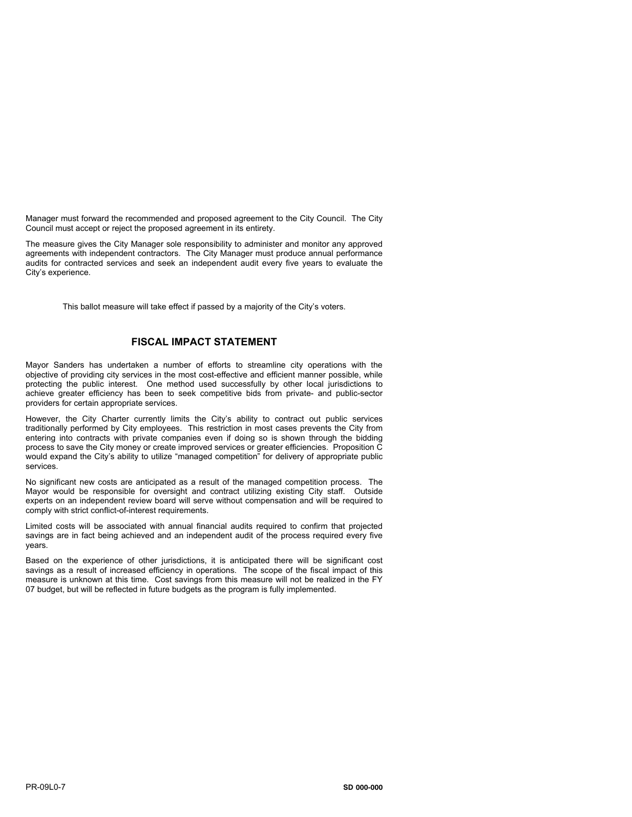Manager must forward the recommended and proposed agreement to the City Council. The City Council must accept or reject the proposed agreement in its entirety.

The measure gives the City Manager sole responsibility to administer and monitor any approved agreements with independent contractors. The City Manager must produce annual performance audits for contracted services and seek an independent audit every five years to evaluate the City's experience.

This ballot measure will take effect if passed by a majority of the City's voters.

# **FISCAL IMPACT STATEMENT**

Mayor Sanders has undertaken a number of efforts to streamline city operations with the objective of providing city services in the most cost-effective and efficient manner possible, while protecting the public interest. One method used successfully by other local jurisdictions to achieve greater efficiency has been to seek competitive bids from private- and public-sector providers for certain appropriate services.

However, the City Charter currently limits the City's ability to contract out public services traditionally performed by City employees. This restriction in most cases prevents the City from entering into contracts with private companies even if doing so is shown through the bidding process to save the City money or create improved services or greater efficiencies. Proposition C would expand the City's ability to utilize "managed competition" for delivery of appropriate public services.

No significant new costs are anticipated as a result of the managed competition process. The Mayor would be responsible for oversight and contract utilizing existing City staff. Outside experts on an independent review board will serve without compensation and will be required to comply with strict conflict-of-interest requirements.

Limited costs will be associated with annual financial audits required to confirm that projected savings are in fact being achieved and an independent audit of the process required every five years.

Based on the experience of other jurisdictions, it is anticipated there will be significant cost savings as a result of increased efficiency in operations. The scope of the fiscal impact of this measure is unknown at this time. Cost savings from this measure will not be realized in the FY 07 budget, but will be reflected in future budgets as the program is fully implemented.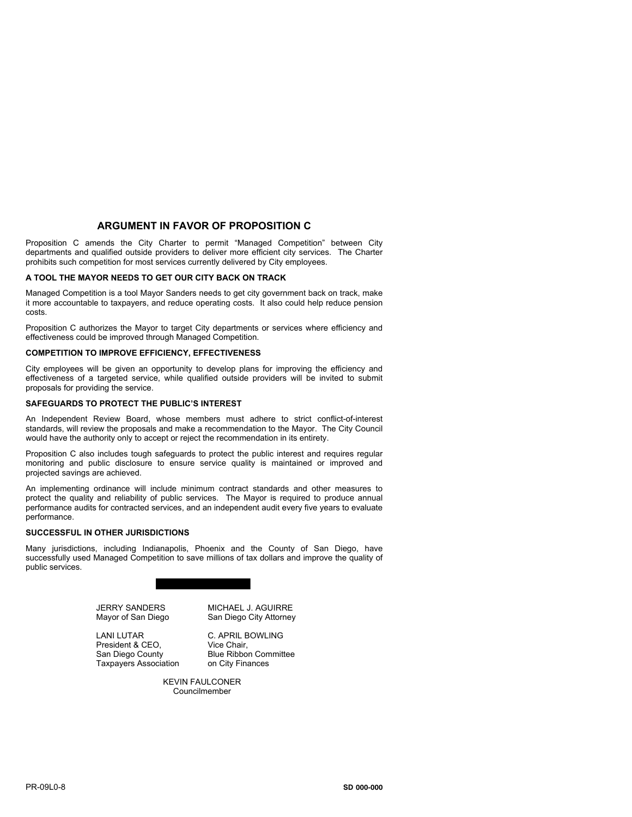### **ARGUMENT IN FAVOR OF PROPOSITION C**

Proposition C amends the City Charter to permit "Managed Competition" between City departments and qualified outside providers to deliver more efficient city services. The Charter prohibits such competition for most services currently delivered by City employees.

### **A TOOL THE MAYOR NEEDS TO GET OUR CITY BACK ON TRACK**

Managed Competition is a tool Mayor Sanders needs to get city government back on track, make it more accountable to taxpayers, and reduce operating costs. It also could help reduce pension costs.

Proposition C authorizes the Mayor to target City departments or services where efficiency and effectiveness could be improved through Managed Competition.

#### **COMPETITION TO IMPROVE EFFICIENCY, EFFECTIVENESS**

City employees will be given an opportunity to develop plans for improving the efficiency and effectiveness of a targeted service, while qualified outside providers will be invited to submit proposals for providing the service.

#### **SAFEGUARDS TO PROTECT THE PUBLIC'S INTEREST**

An Independent Review Board, whose members must adhere to strict conflict-of-interest standards, will review the proposals and make a recommendation to the Mayor. The City Council would have the authority only to accept or reject the recommendation in its entirety.

Proposition C also includes tough safeguards to protect the public interest and requires regular monitoring and public disclosure to ensure service quality is maintained or improved and projected savings are achieved.

An implementing ordinance will include minimum contract standards and other measures to protect the quality and reliability of public services. The Mayor is required to produce annual performance audits for contracted services, and an independent audit every five years to evaluate performance.

#### **SUCCESSFUL IN OTHER JURISDICTIONS**

Many jurisdictions, including Indianapolis, Phoenix and the County of San Diego, have successfully used Managed Competition to save millions of tax dollars and improve the quality of public services.



JERRY SANDERS Mayor of San Diego

LANI LUTAR President & CEO, San Diego County Taxpayers Association MICHAEL J. AGUIRRE San Diego City Attorney

C. APRIL BOWLING Vice Chair, Blue Ribbon Committee on City Finances

**KEVIN FAULCONER** Councilmember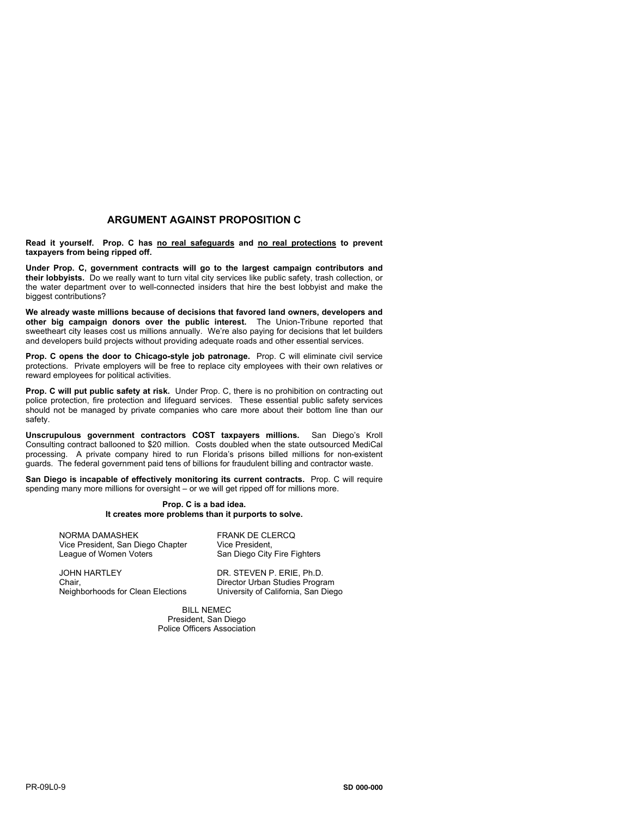## **ARGUMENT AGAINST PROPOSITION C**

**Read it yourself. Prop. C has no real safeguards and no real protections to prevent taxpayers from being ripped off.**

**Under Prop. C, government contracts will go to the largest campaign contributors and their lobbyists.** Do we really want to turn vital city services like public safety, trash collection, or the water department over to well-connected insiders that hire the best lobbyist and make the biggest contributions?

**We already waste millions because of decisions that favored land owners, developers and other big campaign donors over the public interest.** The Union-Tribune reported that sweetheart city leases cost us millions annually. We're also paying for decisions that let builders and developers build projects without providing adequate roads and other essential services.

**Prop. C opens the door to Chicago-style job patronage.** Prop. C will eliminate civil service protections. Private employers will be free to replace city employees with their own relatives or reward employees for political activities.

**Prop. C will put public safety at risk.** Under Prop. C, there is no prohibition on contracting out police protection, fire protection and lifeguard services. These essential public safety services should not be managed by private companies who care more about their bottom line than our safety.

**Unscrupulous government contractors COST taxpayers millions.** San Diego's Kroll Consulting contract ballooned to \$20 million. Costs doubled when the state outsourced MediCal processing. A private company hired to run Florida's prisons billed millions for non-existent guards. The federal government paid tens of billions for fraudulent billing and contractor waste.

**San Diego is incapable of effectively monitoring its current contracts.** Prop. C will require spending many more millions for oversight – or we will get ripped off for millions more.

#### **Prop. C is a bad idea. It creates more problems than it purports to solve.**

NORMA DAMASHEK Vice President, San Diego Chapter League of Women Voters

**JOHN HARTLEY** Chair, Neighborhoods for Clean Elections FRANK DE CLERCQ Vice President, San Diego City Fire Fighters

DR. STEVEN P. ERIE, Ph.D. Director Urban Studies Program University of California, San Diego

BILL NEMEC President, San Diego Police Officers Association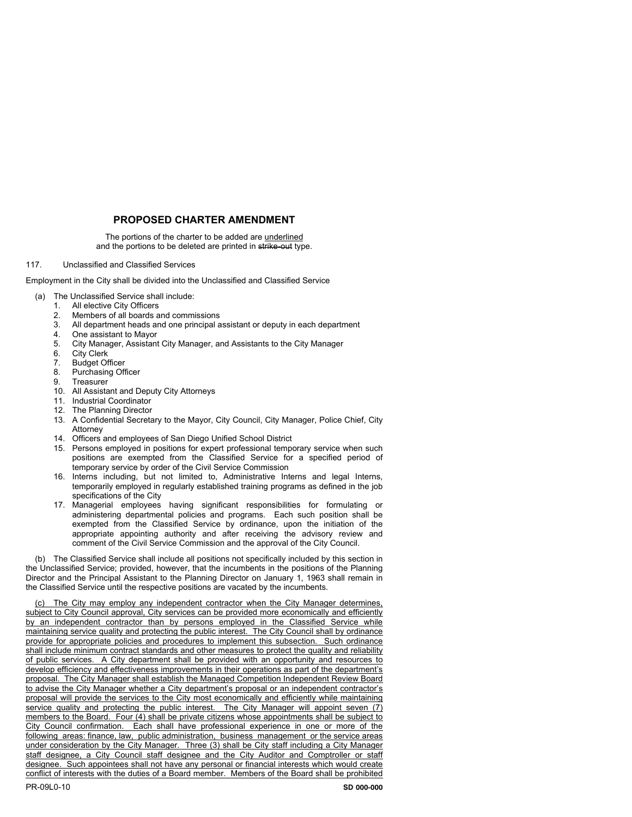# **PROPOSED CHARTER AMENDMENT**

The portions of the charter to be added are underlined and the portions to be deleted are printed in strike-out type.

### 117. Unclassified and Classified Services

Employment in the City shall be divided into the Unclassified and Classified Service

- (a) The Unclassified Service shall include:
	- 1. All elective City Officers<br>2. Members of all boards a
	- 2. Members of all boards and commissions<br>3. All department heads and one principal a
	- All department heads and one principal assistant or deputy in each department
	- 4. One assistant to Mayor<br>5. City Manager, Assistant
	- 5. City Manager, Assistant City Manager, and Assistants to the City Manager
	- 6. City Clerk
	- 7. Budget Officer
	- 8. Purchasing Officer<br>9. Treasurer
	- **Treasurer**
	- 10. All Assistant and Deputy City Attorneys
	- 11. Industrial Coordinator
	- 12. The Planning Director
	- 13. A Confidential Secretary to the Mayor, City Council, City Manager, Police Chief, City Attorney
	- 14. Officers and employees of San Diego Unified School District
	- 15. Persons employed in positions for expert professional temporary service when such positions are exempted from the Classified Service for a specified period of temporary service by order of the Civil Service Commission
	- 16. Interns including, but not limited to, Administrative Interns and legal Interns, temporarily employed in regularly established training programs as defined in the job specifications of the City
	- 17. Managerial employees having significant responsibilities for formulating or administering departmental policies and programs. Each such position shall be exempted from the Classified Service by ordinance, upon the initiation of the appropriate appointing authority and after receiving the advisory review and comment of the Civil Service Commission and the approval of the City Council.

(b) The Classified Service shall include all positions not specifically included by this section in the Unclassified Service; provided, however, that the incumbents in the positions of the Planning Director and the Principal Assistant to the Planning Director on January 1, 1963 shall remain in the Classified Service until the respective positions are vacated by the incumbents.

The City may employ any independent contractor when the City Manager determines, subject to City Council approval, City services can be provided more economically and efficiently by an independent contractor than by persons employed in the Classified Service while maintaining service quality and protecting the public interest. The City Council shall by ordinance provide for appropriate policies and procedures to implement this subsection. Such ordinance shall include minimum contract standards and other measures to protect the quality and reliability of public services. A City department shall be provided with an opportunity and resources to develop efficiency and effectiveness improvements in their operations as part of the department's proposal. The City Manager shall establish the Managed Competition Independent Review Board to advise the City Manager whether a City department's proposal or an independent contractor's proposal will provide the services to the City most economically and efficiently while maintaining service quality and protecting the public interest. The City Manager will appoint seven (7) members to the Board. Four (4) shall be private citizens whose appointments shall be subject to City Council confirmation. Each shall have professional experience in one or more of the following areas: finance, law, public administration, business management or the service areas under consideration by the City Manager. Three (3) shall be City staff including a City Manager staff designee, a City Council staff designee and the City Auditor and Comptroller or staff designee. Such appointees shall not have any personal or financial interests which would create conflict of interests with the duties of a Board member. Members of the Board shall be prohibited